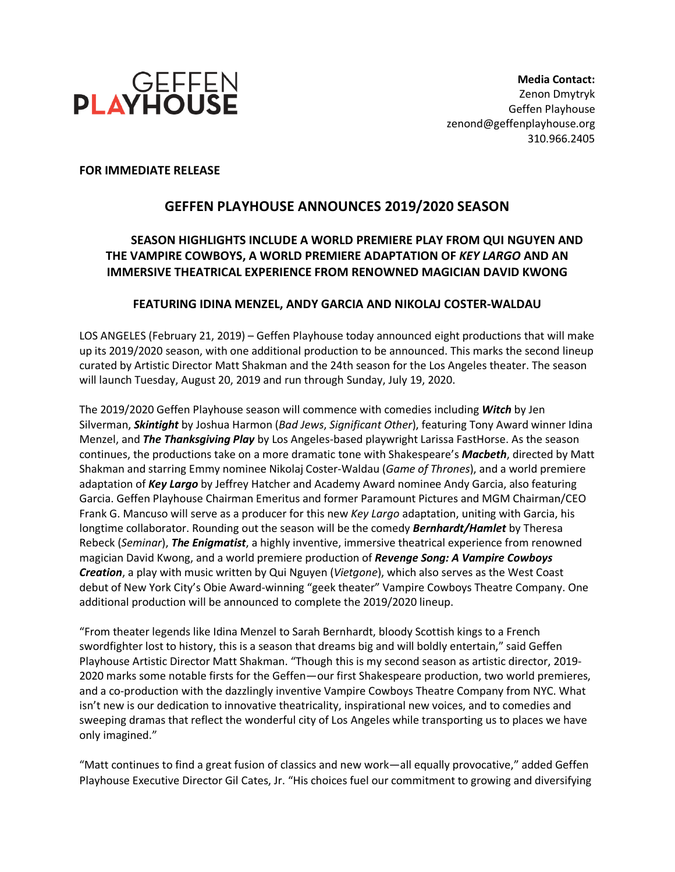

**FOR IMMEDIATE RELEASE**

# **GEFFEN PLAYHOUSE ANNOUNCES 2019/2020 SEASON**

# **SEASON HIGHLIGHTS INCLUDE A WORLD PREMIERE PLAY FROM QUI NGUYEN AND THE VAMPIRE COWBOYS, A WORLD PREMIERE ADAPTATION OF** *KEY LARGO* **AND AN IMMERSIVE THEATRICAL EXPERIENCE FROM RENOWNED MAGICIAN DAVID KWONG**

## **FEATURING IDINA MENZEL, ANDY GARCIA AND NIKOLAJ COSTER-WALDAU**

LOS ANGELES (February 21, 2019) – Geffen Playhouse today announced eight productions that will make up its 2019/2020 season, with one additional production to be announced. This marks the second lineup curated by Artistic Director Matt Shakman and the 24th season for the Los Angeles theater. The season will launch Tuesday, August 20, 2019 and run through Sunday, July 19, 2020.

The 2019/2020 Geffen Playhouse season will commence with comedies including *Witch* by Jen Silverman, *Skintight* by Joshua Harmon (*Bad Jews*, *Significant Other*), featuring Tony Award winner Idina Menzel, and *The Thanksgiving Play* by Los Angeles-based playwright Larissa FastHorse. As the season continues, the productions take on a more dramatic tone with Shakespeare's *Macbeth*, directed by Matt Shakman and starring Emmy nominee Nikolaj Coster-Waldau (*Game of Thrones*), and a world premiere adaptation of *Key Largo* by Jeffrey Hatcher and Academy Award nominee Andy Garcia, also featuring Garcia. Geffen Playhouse Chairman Emeritus and former Paramount Pictures and MGM Chairman/CEO Frank G. Mancuso will serve as a producer for this new *Key Largo* adaptation, uniting with Garcia, his longtime collaborator. Rounding out the season will be the comedy *Bernhardt/Hamlet* by Theresa Rebeck (*Seminar*), *The Enigmatist*, a highly inventive, immersive theatrical experience from renowned magician David Kwong, and a world premiere production of *Revenge Song: A Vampire Cowboys Creation*, a play with music written by Qui Nguyen (*Vietgone*), which also serves as the West Coast debut of New York City's Obie Award-winning "geek theater" Vampire Cowboys Theatre Company. One additional production will be announced to complete the 2019/2020 lineup.

"From theater legends like Idina Menzel to Sarah Bernhardt, bloody Scottish kings to a French swordfighter lost to history, this is a season that dreams big and will boldly entertain," said Geffen Playhouse Artistic Director Matt Shakman. "Though this is my second season as artistic director, 2019- 2020 marks some notable firsts for the Geffen—our first Shakespeare production, two world premieres, and a co-production with the dazzlingly inventive Vampire Cowboys Theatre Company from NYC. What isn't new is our dedication to innovative theatricality, inspirational new voices, and to comedies and sweeping dramas that reflect the wonderful city of Los Angeles while transporting us to places we have only imagined."

"Matt continues to find a great fusion of classics and new work—all equally provocative," added Geffen Playhouse Executive Director Gil Cates, Jr. "His choices fuel our commitment to growing and diversifying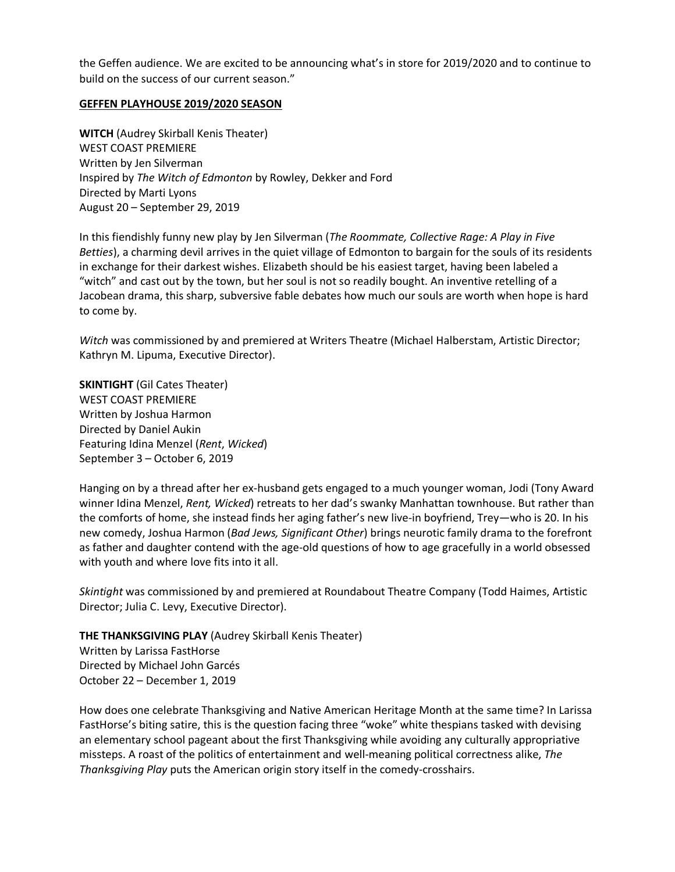the Geffen audience. We are excited to be announcing what's in store for 2019/2020 and to continue to build on the success of our current season."

#### **GEFFEN PLAYHOUSE 2019/2020 SEASON**

**WITCH** (Audrey Skirball Kenis Theater) WEST COAST PREMIERE Written by Jen Silverman Inspired by *The Witch of Edmonton* by Rowley, Dekker and Ford Directed by Marti Lyons August 20 – September 29, 2019

In this fiendishly funny new play by Jen Silverman (*The Roommate, Collective Rage: A Play in Five Betties*), a charming devil arrives in the quiet village of Edmonton to bargain for the souls of its residents in exchange for their darkest wishes. Elizabeth should be his easiest target, having been labeled a "witch" and cast out by the town, but her soul is not so readily bought. An inventive retelling of a Jacobean drama, this sharp, subversive fable debates how much our souls are worth when hope is hard to come by.

*Witch* was commissioned by and premiered at Writers Theatre (Michael Halberstam, Artistic Director; Kathryn M. Lipuma, Executive Director).

**SKINTIGHT** (Gil Cates Theater) WEST COAST PREMIERE Written by Joshua Harmon Directed by Daniel Aukin Featuring Idina Menzel (*Rent*, *Wicked*) September 3 – October 6, 2019

Hanging on by a thread after her ex-husband gets engaged to a much younger woman, Jodi (Tony Award winner Idina Menzel, *Rent, Wicked*) retreats to her dad's swanky Manhattan townhouse. But rather than the comforts of home, she instead finds her aging father's new live-in boyfriend, Trey—who is 20. In his new comedy, Joshua Harmon (*Bad Jews, Significant Other*) brings neurotic family drama to the forefront as father and daughter contend with the age-old questions of how to age gracefully in a world obsessed with youth and where love fits into it all.

*Skintight* was commissioned by and premiered at Roundabout Theatre Company (Todd Haimes, Artistic Director; Julia C. Levy, Executive Director).

**THE THANKSGIVING PLAY** (Audrey Skirball Kenis Theater) Written by Larissa FastHorse Directed by Michael John Garcés October 22 – December 1, 2019

How does one celebrate Thanksgiving and Native American Heritage Month at the same time? In Larissa FastHorse's biting satire, this is the question facing three "woke" white thespians tasked with devising an elementary school pageant about the first Thanksgiving while avoiding any culturally appropriative missteps. A roast of the politics of entertainment and well-meaning political correctness alike, *The Thanksgiving Play* puts the American origin story itself in the comedy-crosshairs.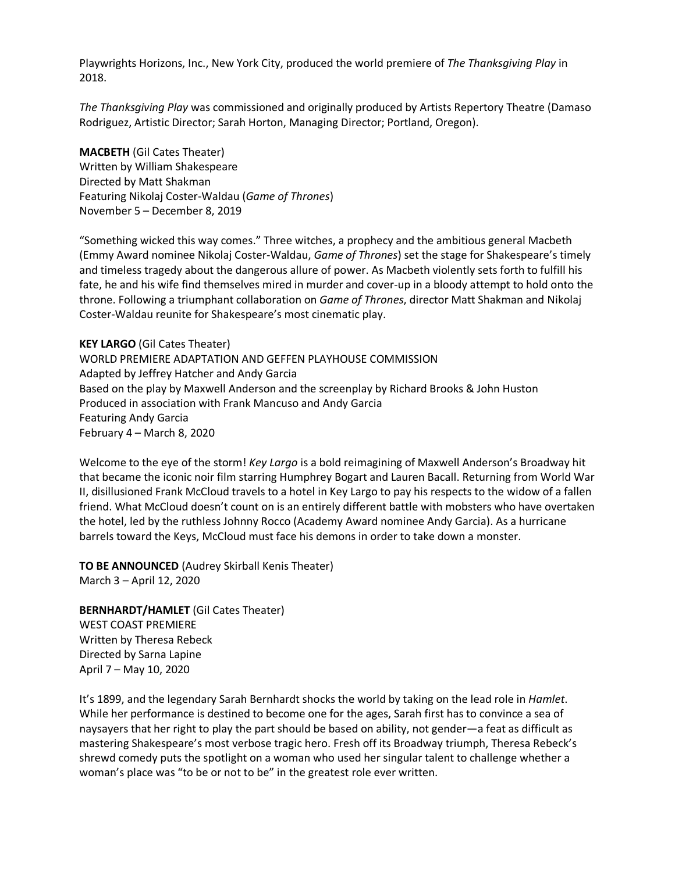Playwrights Horizons, Inc., New York City, produced the world premiere of *The Thanksgiving Play* in 2018.

*The Thanksgiving Play* was commissioned and originally produced by Artists Repertory Theatre (Damaso Rodriguez, Artistic Director; Sarah Horton, Managing Director; Portland, Oregon).

**MACBETH** (Gil Cates Theater) Written by William Shakespeare Directed by Matt Shakman Featuring Nikolaj Coster-Waldau (*Game of Thrones*) November 5 – December 8, 2019

"Something wicked this way comes." Three witches, a prophecy and the ambitious general Macbeth (Emmy Award nominee Nikolaj Coster-Waldau, *Game of Thrones*) set the stage for Shakespeare's timely and timeless tragedy about the dangerous allure of power. As Macbeth violently sets forth to fulfill his fate, he and his wife find themselves mired in murder and cover-up in a bloody attempt to hold onto the throne. Following a triumphant collaboration on *Game of Thrones*, director Matt Shakman and Nikolaj Coster-Waldau reunite for Shakespeare's most cinematic play.

**KEY LARGO** (Gil Cates Theater) WORLD PREMIERE ADAPTATION AND GEFFEN PLAYHOUSE COMMISSION Adapted by Jeffrey Hatcher and Andy Garcia Based on the play by Maxwell Anderson and the screenplay by Richard Brooks & John Huston Produced in association with Frank Mancuso and Andy Garcia Featuring Andy Garcia February 4 – March 8, 2020

Welcome to the eye of the storm! *Key Largo* is a bold reimagining of Maxwell Anderson's Broadway hit that became the iconic noir film starring Humphrey Bogart and Lauren Bacall. Returning from World War II, disillusioned Frank McCloud travels to a hotel in Key Largo to pay his respects to the widow of a fallen friend. What McCloud doesn't count on is an entirely different battle with mobsters who have overtaken the hotel, led by the ruthless Johnny Rocco (Academy Award nominee Andy Garcia). As a hurricane barrels toward the Keys, McCloud must face his demons in order to take down a monster.

**TO BE ANNOUNCED** (Audrey Skirball Kenis Theater) March 3 – April 12, 2020

**BERNHARDT/HAMLET** (Gil Cates Theater) WEST COAST PREMIERE Written by Theresa Rebeck Directed by Sarna Lapine April 7 – May 10, 2020

It's 1899, and the legendary Sarah Bernhardt shocks the world by taking on the lead role in *Hamlet*. While her performance is destined to become one for the ages, Sarah first has to convince a sea of naysayers that her right to play the part should be based on ability, not gender—a feat as difficult as mastering Shakespeare's most verbose tragic hero. Fresh off its Broadway triumph, Theresa Rebeck's shrewd comedy puts the spotlight on a woman who used her singular talent to challenge whether a woman's place was "to be or not to be" in the greatest role ever written.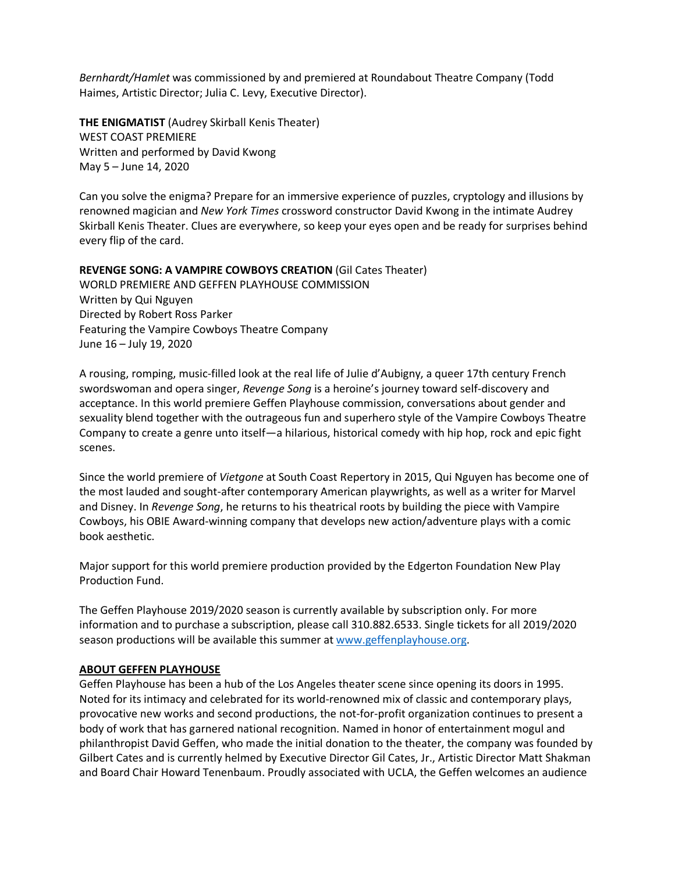*Bernhardt/Hamlet* was commissioned by and premiered at Roundabout Theatre Company (Todd Haimes, Artistic Director; Julia C. Levy, Executive Director).

**THE ENIGMATIST** (Audrey Skirball Kenis Theater) WEST COAST PREMIERE Written and performed by David Kwong May 5 – June 14, 2020

Can you solve the enigma? Prepare for an immersive experience of puzzles, cryptology and illusions by renowned magician and *New York Times* crossword constructor David Kwong in the intimate Audrey Skirball Kenis Theater. Clues are everywhere, so keep your eyes open and be ready for surprises behind every flip of the card.

## **REVENGE SONG: A VAMPIRE COWBOYS CREATION** (Gil Cates Theater) WORLD PREMIERE AND GEFFEN PLAYHOUSE COMMISSION Written by Qui Nguyen Directed by Robert Ross Parker Featuring the Vampire Cowboys Theatre Company June 16 – July 19, 2020

A rousing, romping, music-filled look at the real life of Julie d'Aubigny, a queer 17th century French swordswoman and opera singer, *Revenge Song* is a heroine's journey toward self-discovery and acceptance. In this world premiere Geffen Playhouse commission, conversations about gender and sexuality blend together with the outrageous fun and superhero style of the Vampire Cowboys Theatre Company to create a genre unto itself—a hilarious, historical comedy with hip hop, rock and epic fight scenes.

Since the world premiere of *Vietgone* at South Coast Repertory in 2015, Qui Nguyen has become one of the most lauded and sought-after contemporary American playwrights, as well as a writer for Marvel and Disney. In *Revenge Song*, he returns to his theatrical roots by building the piece with Vampire Cowboys, his OBIE Award-winning company that develops new action/adventure plays with a comic book aesthetic.

Major support for this world premiere production provided by the Edgerton Foundation New Play Production Fund.

The Geffen Playhouse 2019/2020 season is currently available by subscription only. For more information and to purchase a subscription, please call 310.882.6533. Single tickets for all 2019/2020 season productions will be available this summer at www.geffenplayhouse.org.

### **ABOUT GEFFEN PLAYHOUSE**

Geffen Playhouse has been a hub of the Los Angeles theater scene since opening its doors in 1995. Noted for its intimacy and celebrated for its world-renowned mix of classic and contemporary plays, provocative new works and second productions, the not-for-profit organization continues to present a body of work that has garnered national recognition. Named in honor of entertainment mogul and philanthropist David Geffen, who made the initial donation to the theater, the company was founded by Gilbert Cates and is currently helmed by Executive Director Gil Cates, Jr., Artistic Director Matt Shakman and Board Chair Howard Tenenbaum. Proudly associated with UCLA, the Geffen welcomes an audience